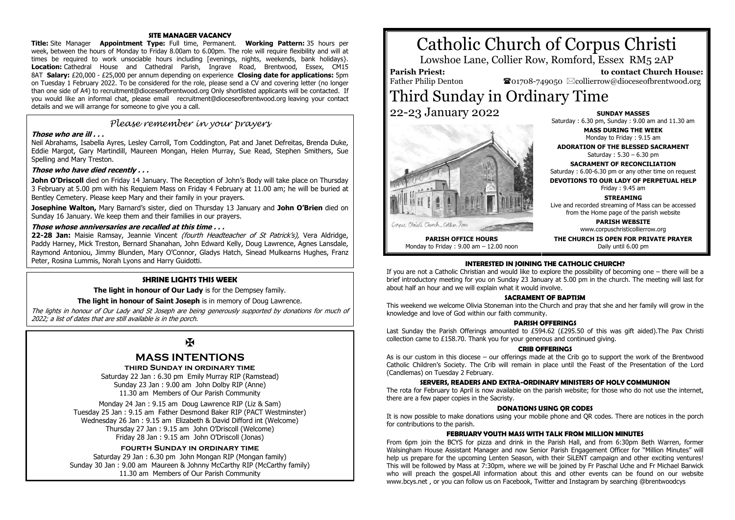### **SITE MANAGER VACANCY**

**Title:** Site Manager **Appointment Type:** Full time, Permanent. **Working Pattern:** 35 hours per week, between the hours of Monday to Friday 8.00am to 6.00pm. The role will require flexibility and will at times be required to work unsociable hours including [evenings, nights, weekends, bank holidays}. **Location:** Cathedral House and Cathedral Parish, Ingrave Road, Brentwood, Essex, CM15 8AT **Salary:** £20,000 - £25,000 per annum depending on experience **Closing date for applications:** 5pm on Tuesday 1 February 2022. To be considered for the role, please send a CV and covering letter (no longer than one side of A4) to recruitment@dioceseofbrentwood.org Only shortlisted applicants will be contacted. If you would like an informal chat, please email recruitment@dioceseofbrentwood.org leaving your contact details and we will arrange for someone to give you a call.

## *Please remember in your prayers*

#### **Those who are ill . . .**

Neil Abrahams, Isabella Ayres, Lesley Carroll, Tom Coddington, Pat and Janet Defreitas, Brenda Duke, Eddie Margot, Gary Martindill, Maureen Mongan, Helen Murray, Sue Read, Stephen Smithers, Sue Spelling and Mary Treston.

#### **Those who have died recently . . .**

**John O'Driscoll** died on Friday 14 January. The Reception of John's Body will take place on Thursday 3 February at 5.00 pm with his Requiem Mass on Friday 4 February at 11.00 am; he will be buried at Bentley Cemetery. Please keep Mary and their family in your prayers.

**Josephine Walton,** Mary Barnard's sister, died on Thursday 13 January and **John O'Brien** died on Sunday 16 January. We keep them and their families in our prayers.

#### **Those whose anniversaries are recalled at this time . . .**

**22-28 Jan:** Maisie Ramsay, Jeannie Vincent (fourth Headteacher of St Patrick's), Vera Aldridge, Paddy Harney, Mick Treston, Bernard Shanahan, John Edward Kelly, Doug Lawrence, Agnes Lansdale, Raymond Antoniou, Jimmy Blunden, Mary O'Connor, Gladys Hatch, Sinead Mulkearns Hughes, Franz Peter, Rosina Lummis, Norah Lyons and Harry Guidotti.

#### **SHRINE LIGHTS THIS WEEK**

**The light in honour of Our Lady** is for the Dempsey family.

#### **The light in honour of Saint Joseph** is in memory of Doug Lawrence.

The lights in honour of Our Lady and St Joseph are being generously supported by donations for much of 2022; a list of dates that are still available is in the porch.

## $\mathbf F$

## **MASS INTENTIONS**

#### **third Sunday in ordinary time**

Saturday 22 Jan : 6.30 pm Emily Murray RIP (Ramstead) Sunday 23 Jan : 9.00 am John Dolby RIP (Anne) 11.30 am Members of Our Parish Community

Monday 24 Jan : 9.15 am Doug Lawrence RIP (Liz & Sam) Tuesday 25 Jan : 9.15 am Father Desmond Baker RIP (PACT Westminster) Wednesday 26 Jan : 9.15 am Elizabeth & David Difford int (Welcome) Thursday 27 Jan : 9.15 am John O'Driscoll (Welcome) Friday 28 Jan : 9.15 am John O'Driscoll (Jonas)

#### **fourth Sunday in ordinary time**

Saturday 29 Jan : 6.30 pm John Mongan RIP (Mongan family) Sunday 30 Jan : 9.00 am Maureen & Johnny McCarthy RIP (McCarthy family) 11.30 am Members of Our Parish Community

# Catholic Church of Corpus Christi

Lowshoe Lane, Collier Row, Romford, Essex RM5 2AP

## **Parish Priest:**

Father Philip Denton

 **to contact Church House:**  $\bullet$ 01708-749050  $\boxtimes$ collierrow@dioceseofbrentwood.org

## Third Sunday in Ordinary Time 22-23 January 2022



**PARISH OFFICE HOURS** Monday to Friday : 9.00 am – 12.00 noon **SUNDAY MASSES**

Saturday : 6.30 pm, Sunday : 9.00 am and 11.30 am

**MASS DURING THE WEEK** Monday to Friday : 9.15 am

**ADORATION OF THE BLESSED SACRAMENT** Saturday : 5.30 – 6.30 pm

**SACRAMENT OF RECONCILIATION** Saturday : 6.00-6.30 pm or any other time on request

**DEVOTIONS TO OUR LADY OF PERPETUAL HELP**

Friday : 9.45 am

**STREAMING**

Live and recorded streaming of Mass can be accessed from the Home page of the parish website

> **PARISH WEBSITE** www.corpuschristicollierrow.org

**THE CHURCH IS OPEN FOR PRIVATE PRAYER** Daily until 6.00 pm

#### **INTERESTED IN JOINING THE CATHOLIC CHURCH?**

If you are not a Catholic Christian and would like to explore the possibility of becoming one – there will be a brief introductory meeting for you on Sunday 23 January at 5.00 pm in the church. The meeting will last for about half an hour and we will explain what it would involve.

#### **SACRAMENT OF BAPTISM**

This weekend we welcome Olivia Stoneman into the Church and pray that she and her family will grow in the knowledge and love of God within our faith community.

#### **PARISH OFFERINGS**

Last Sunday the Parish Offerings amounted to £594.62 (£295.50 of this was gift aided). The Pax Christi collection came to £158.70. Thank you for your generous and continued giving.

#### **CRIB OFFERINGS**

As is our custom in this diocese – our offerings made at the Crib go to support the work of the Brentwood Catholic Children's Society. The Crib will remain in place until the Feast of the Presentation of the Lord (Candlemas) on Tuesday 2 February.

#### **SERVERS, READERS AND EXTRA-ORDINARY MINISTERS OF HOLY COMMUNION**

The rota for February to April is now available on the parish website; for those who do not use the internet, there are a few paper copies in the Sacristy.

#### **DONATIONS USING QR CODES**

It is now possible to make donations using your mobile phone and QR codes. There are notices in the porch for contributions to the parish.

#### **FEBRUARY YOUTH MASS WITH TALK FROM MILLION MINUTES**

From 6pm join the BCYS for pizza and drink in the Parish Hall, and from 6:30pm Beth Warren, former Walsingham House Assistant Manager and now Senior Parish Engagement Officer for "Million Minutes" will help us prepare for the upcoming Lenten Season, with their SiLENT campaign and other exciting ventures! This will be followed by Mass at 7:30pm, where we will be joined by Fr Paschal Uche and Fr Michael Barwick who will preach the gospel.All information about this and other events can be found on our website www.bcys.net , or you can follow us on Facebook, Twitter and Instagram by searching @brentwoodcys